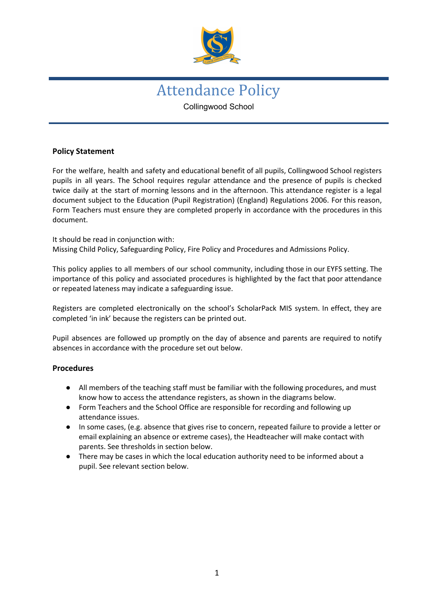

# Attendance Policy Collingwood School

## **Policy Statement**

For the welfare, health and safety and educational benefit of all pupils, Collingwood School registers pupils in all years. The School requires regular attendance and the presence of pupils is checked twice daily at the start of morning lessons and in the afternoon. This attendance register is a legal document subject to the Education (Pupil Registration) (England) Regulations 2006. For this reason, Form Teachers must ensure they are completed properly in accordance with the procedures in this document.

It should be read in conjunction with: Missing Child Policy, Safeguarding Policy, Fire Policy and Procedures and Admissions Policy.

This policy applies to all members of our school community, including those in our EYFS setting. The importance of this policy and associated procedures is highlighted by the fact that poor attendance or repeated lateness may indicate a safeguarding issue.

Registers are completed electronically on the school's ScholarPack MIS system. In effect, they are completed 'in ink' because the registers can be printed out.

Pupil absences are followed up promptly on the day of absence and parents are required to notify absences in accordance with the procedure set out below.

## **Procedures**

- All members of the teaching staff must be familiar with the following procedures, and must know how to access the attendance registers, as shown in the diagrams below.
- Form Teachers and the School Office are responsible for recording and following up attendance issues.
- In some cases, (e.g. absence that gives rise to concern, repeated failure to provide a letter or email explaining an absence or extreme cases), the Headteacher will make contact with parents. See thresholds in section below.
- There may be cases in which the local education authority need to be informed about a pupil. See relevant section below.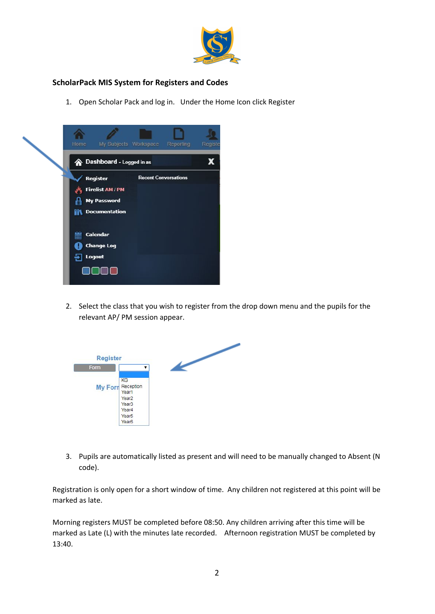

# **ScholarPack MIS System for Registers and Codes**

1. Open Scholar Pack and log in. Under the Home Icon click Register



2. Select the class that you wish to register from the drop down menu and the pupils for the relevant AP/ PM session appear.



3. Pupils are automatically listed as present and will need to be manually changed to Absent (N code).

Registration is only open for a short window of time. Any children not registered at this point will be marked as late.

Morning registers MUST be completed before 08:50. Any children arriving after this time will be marked as Late (L) with the minutes late recorded. Afternoon registration MUST be completed by 13:40.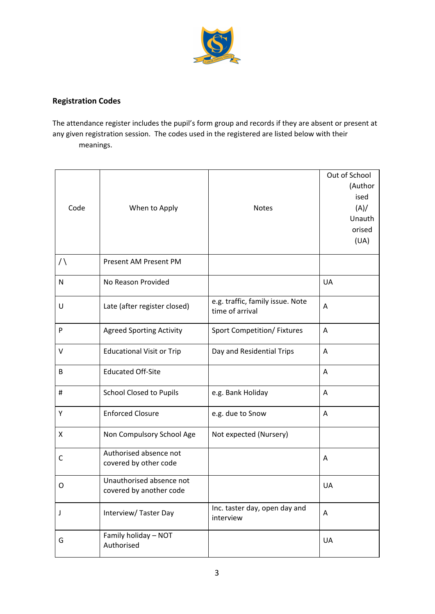

# **Registration Codes**

The attendance register includes the pupil's form group and records if they are absent or present at any given registration session. The codes used in the registered are listed below with their meanings.

| Code         | When to Apply                                       | <b>Notes</b>                                        | Out of School<br>(Author<br>ised<br>(A)/<br>Unauth<br>orised<br>(UA) |
|--------------|-----------------------------------------------------|-----------------------------------------------------|----------------------------------------------------------------------|
| $\bigwedge$  | Present AM Present PM                               |                                                     |                                                                      |
| $\mathsf{N}$ | No Reason Provided                                  |                                                     | <b>UA</b>                                                            |
| U            | Late (after register closed)                        | e.g. traffic, family issue. Note<br>time of arrival | Α                                                                    |
| ${\sf P}$    | <b>Agreed Sporting Activity</b>                     | Sport Competition/ Fixtures                         | Α                                                                    |
| $\vee$       | <b>Educational Visit or Trip</b>                    | Day and Residential Trips                           | Α                                                                    |
| B            | <b>Educated Off-Site</b>                            |                                                     | Α                                                                    |
| $\#$         | <b>School Closed to Pupils</b>                      | e.g. Bank Holiday                                   | Α                                                                    |
| Y            | <b>Enforced Closure</b>                             | e.g. due to Snow                                    | A                                                                    |
| X            | Non Compulsory School Age                           | Not expected (Nursery)                              |                                                                      |
| $\mathsf C$  | Authorised absence not<br>covered by other code     |                                                     | Α                                                                    |
| O            | Unauthorised absence not<br>covered by another code |                                                     | UA                                                                   |
| J            | Interview/Taster Day                                | Inc. taster day, open day and<br>interview          | Α                                                                    |
| G            | Family holiday - NOT<br>Authorised                  |                                                     | UA                                                                   |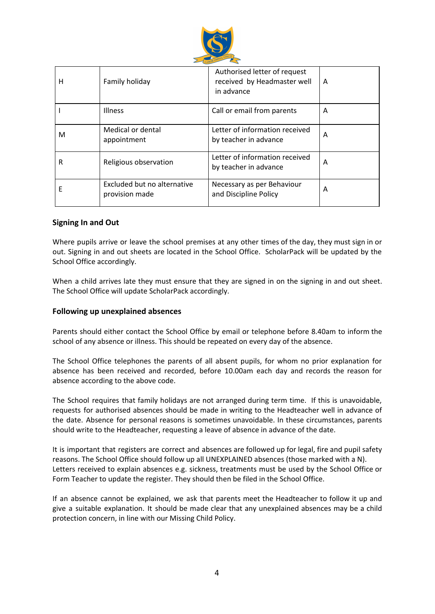

| н | Family holiday                                | Authorised letter of request<br>received by Headmaster well<br>in advance | A |
|---|-----------------------------------------------|---------------------------------------------------------------------------|---|
|   | <b>Illness</b>                                | Call or email from parents                                                | A |
| м | Medical or dental<br>appointment              | Letter of information received<br>by teacher in advance                   | A |
| R | Religious observation                         | Letter of information received<br>by teacher in advance                   | A |
| F | Excluded but no alternative<br>provision made | Necessary as per Behaviour<br>and Discipline Policy                       | A |

#### **Signing In and Out**

Where pupils arrive or leave the school premises at any other times of the day, they must sign in or out. Signing in and out sheets are located in the School Office. ScholarPack will be updated by the School Office accordingly.

When a child arrives late they must ensure that they are signed in on the signing in and out sheet. The School Office will update ScholarPack accordingly.

#### **Following up unexplained absences**

Parents should either contact the School Office by email or telephone before 8.40am to inform the school of any absence or illness. This should be repeated on every day of the absence.

The School Office telephones the parents of all absent pupils, for whom no prior explanation for absence has been received and recorded, before 10.00am each day and records the reason for absence according to the above code.

The School requires that family holidays are not arranged during term time. If this is unavoidable, requests for authorised absences should be made in writing to the Headteacher well in advance of the date. Absence for personal reasons is sometimes unavoidable. In these circumstances, parents should write to the Headteacher, requesting a leave of absence in advance of the date.

It is important that registers are correct and absences are followed up for legal, fire and pupil safety reasons. The School Office should follow up all UNEXPLAINED absences (those marked with a N). Letters received to explain absences e.g. sickness, treatments must be used by the School Office or Form Teacher to update the register. They should then be filed in the School Office.

If an absence cannot be explained, we ask that parents meet the Headteacher to follow it up and give a suitable explanation. It should be made clear that any unexplained absences may be a child protection concern, in line with our Missing Child Policy.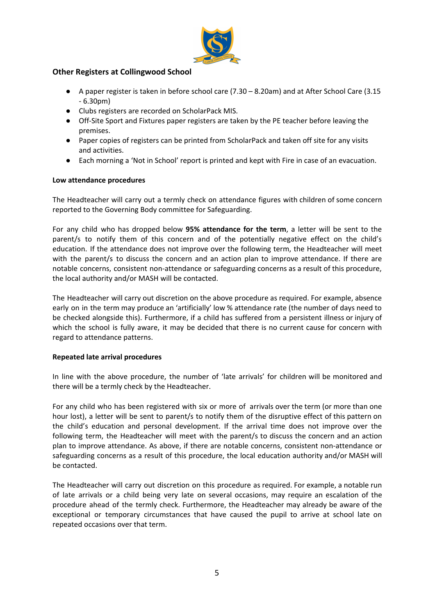

## **Other Registers at Collingwood School**

- A paper register is taken in before school care (7.30 8.20am) and at After School Care (3.15 - 6.30pm)
- Clubs registers are recorded on ScholarPack MIS.
- Off-Site Sport and Fixtures paper registers are taken by the PE teacher before leaving the premises.
- Paper copies of registers can be printed from ScholarPack and taken off site for any visits and activities.
- Each morning a 'Not in School' report is printed and kept with Fire in case of an evacuation.

#### **Low attendance procedures**

The Headteacher will carry out a termly check on attendance figures with children of some concern reported to the Governing Body committee for Safeguarding.

For any child who has dropped below **95% attendance for the term**, a letter will be sent to the parent/s to notify them of this concern and of the potentially negative effect on the child's education. If the attendance does not improve over the following term, the Headteacher will meet with the parent/s to discuss the concern and an action plan to improve attendance. If there are notable concerns, consistent non-attendance or safeguarding concerns as a result of this procedure, the local authority and/or MASH will be contacted.

The Headteacher will carry out discretion on the above procedure as required. For example, absence early on in the term may produce an 'artificially' low % attendance rate (the number of days need to be checked alongside this). Furthermore, if a child has suffered from a persistent illness or injury of which the school is fully aware, it may be decided that there is no current cause for concern with regard to attendance patterns.

## **Repeated late arrival procedures**

In line with the above procedure, the number of 'late arrivals' for children will be monitored and there will be a termly check by the Headteacher.

For any child who has been registered with six or more of arrivals over the term (or more than one hour lost), a letter will be sent to parent/s to notify them of the disruptive effect of this pattern on the child's education and personal development. If the arrival time does not improve over the following term, the Headteacher will meet with the parent/s to discuss the concern and an action plan to improve attendance. As above, if there are notable concerns, consistent non-attendance or safeguarding concerns as a result of this procedure, the local education authority and/or MASH will be contacted.

The Headteacher will carry out discretion on this procedure as required. For example, a notable run of late arrivals or a child being very late on several occasions, may require an escalation of the procedure ahead of the termly check. Furthermore, the Headteacher may already be aware of the exceptional or temporary circumstances that have caused the pupil to arrive at school late on repeated occasions over that term.